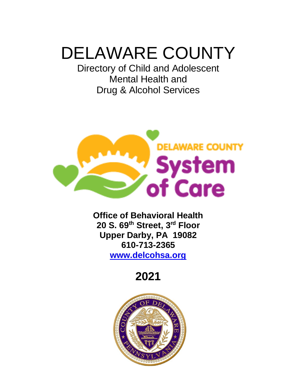# DELAWARE COUNTY

Directory of Child and Adolescent Mental Health and Drug & Alcohol Services



**Office of Behavioral Health 20 S. 69th Street, 3rd Floor Upper Darby, PA 19082 610-713-2365 [www.delcohsa.org](http://www.delcohsa.org/)**

**2021**

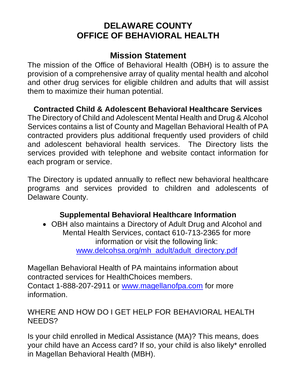# **DELAWARE COUNTY OFFICE OF BEHAVIORAL HEALTH**

# **Mission Statement**

The mission of the Office of Behavioral Health (OBH) is to assure the provision of a comprehensive array of quality mental health and alcohol and other drug services for eligible children and adults that will assist them to maximize their human potential.

# **Contracted Child & Adolescent Behavioral Healthcare Services**

The Directory of Child and Adolescent Mental Health and Drug & Alcohol Services contains a list of County and Magellan Behavioral Health of PA contracted providers plus additional frequently used providers of child and adolescent behavioral health services. The Directory lists the services provided with telephone and website contact information for each program or service.

The Directory is updated annually to reflect new behavioral healthcare programs and services provided to children and adolescents of Delaware County.

# **Supplemental Behavioral Healthcare Information**

• OBH also maintains a Directory of Adult Drug and Alcohol and Mental Health Services, contact 610-713-2365 for more information or visit the following link: [www.delcohsa.org/mh\\_adult/adult\\_directory.pdf](http://www.delcohsa.org/mh_adult/adult_directory.pdf)

Magellan Behavioral Health of PA maintains information about contracted services for HealthChoices members. Contact 1-888-207-2911 or [www.magellanofpa.com](http://www.magellanofpa.com/) for more information.

# WHERE AND HOW DO I GET HELP FOR BEHAVIORAL HEALTH NEEDS?

Is your child enrolled in Medical Assistance (MA)? This means, does your child have an Access card? If so, your child is also likely\* enrolled in Magellan Behavioral Health (MBH).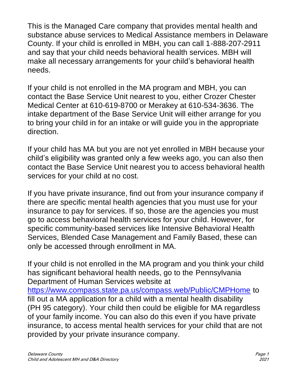This is the Managed Care company that provides mental health and substance abuse services to Medical Assistance members in Delaware County. If your child is enrolled in MBH, you can call 1-888-207-2911 and say that your child needs behavioral health services. MBH will make all necessary arrangements for your child's behavioral health needs.

If your child is not enrolled in the MA program and MBH, you can contact the Base Service Unit nearest to you, either Crozer Chester Medical Center at 610-619-8700 or Merakey at 610-534-3636. The intake department of the Base Service Unit will either arrange for you to bring your child in for an intake or will guide you in the appropriate direction.

If your child has MA but you are not yet enrolled in MBH because your child's eligibility was granted only a few weeks ago, you can also then contact the Base Service Unit nearest you to access behavioral health services for your child at no cost.

If you have private insurance, find out from your insurance company if there are specific mental health agencies that you must use for your insurance to pay for services. If so, those are the agencies you must go to access behavioral health services for your child. However, for specific community-based services like Intensive Behavioral Health Services, Blended Case Management and Family Based, these can only be accessed through enrollment in MA.

If your child is not enrolled in the MA program and you think your child has significant behavioral health needs, go to the Pennsylvania Department of Human Services website at <https://www.compass.state.pa.us/compass.web/Public/CMPHome> to fill out a MA application for a child with a mental health disability (PH 95 category). Your child then could be eligible for MA regardless of your family income. You can also do this even if you have private insurance, to access mental health services for your child that are not provided by your private insurance company.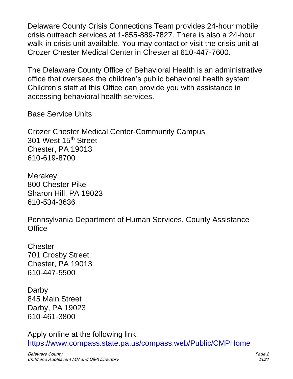Delaware County Crisis Connections Team provides 24-hour mobile crisis outreach services at 1-855-889-7827. There is also a 24-hour walk-in crisis unit available. You may contact or visit the crisis unit at Crozer Chester Medical Center in Chester at 610-447-7600.

The Delaware County Office of Behavioral Health is an administrative office that oversees the children's public behavioral health system. Children's staff at this Office can provide you with assistance in accessing behavioral health services.

Base Service Units

Crozer Chester Medical Center-Community Campus 301 West 15th Street Chester, PA 19013 610-619-8700

Merakey 800 Chester Pike Sharon Hill, PA 19023 610-534-3636

Pennsylvania Department of Human Services, County Assistance **Office** 

**Chester** 701 Crosby Street Chester, PA 19013 610-447-5500

Darby 845 Main Street Darby, PA 19023 610-461-3800

Apply online at the following link: <https://www.compass.state.pa.us/compass.web/Public/CMPHome>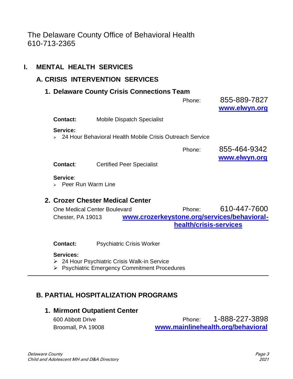# The Delaware County Office of Behavioral Health 610-713-2365

## **I. MENTAL HEALTH SERVICES**

## **A. CRISIS INTERVENTION SERVICES**

## **1. Delaware County Crisis Connections Team**

|                                                 |                                                          | Phone: | 855-889-7827<br>www.elwyn.org |
|-------------------------------------------------|----------------------------------------------------------|--------|-------------------------------|
| Contact:                                        | Mobile Dispatch Specialist                               |        |                               |
| Service:                                        | 24 Hour Behavioral Health Mobile Crisis Outreach Service |        |                               |
|                                                 |                                                          | Phone: | 855-464-9342<br>www.elwyn.org |
| <b>Contact:</b>                                 | <b>Certified Peer Specialist</b>                         |        |                               |
| Service:<br>$\triangleright$ Peer Run Warm Line |                                                          |        |                               |

## **2. Crozer Chester Medical Center**

| One Medical Center Boulevard |  | Phone:                 | 610-447-7600                                |
|------------------------------|--|------------------------|---------------------------------------------|
| Chester, PA 19013            |  |                        | www.crozerkeystone.org/services/behavioral- |
|                              |  | health/crisis-services |                                             |

**Contact:** Psychiatric Crisis Worker

#### **Services:**

- ➢ 24 Hour Psychiatric Crisis Walk-in Service
- ➢ Psychiatric Emergency Commitment Procedures

## **B. PARTIAL HOSPITALIZATION PROGRAMS**

#### **1. Mirmont Outpatient Center**

| 600 Abbott Drive   | Phone: | 1-888-227-3898                    |  |
|--------------------|--------|-----------------------------------|--|
| Broomall, PA 19008 |        | www.mainlinehealth.org/behavioral |  |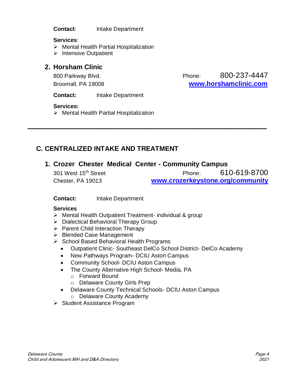**Contact**: Intake Department

#### **Services**:

- ➢ Mental Health Partial Hospitalization
- ➢ Intensive Outpatient

## **2. Horsham Clinic**

800 Parkway Blvd. **Phone:** 800-237-4447 Broomall, PA 19008 **[www.horshamclinic.com](http://www.horshamclinic.com/)**

**Contact:** Intake Department

#### **Services:**

➢ Mental Health Partial Hospitalization

## **C. CENTRALIZED INTAKE AND TREATMENT**

## **1. Crozer Chester Medical Center - Community Campus**

**\_\_\_\_\_\_\_\_\_\_\_\_\_\_\_\_\_\_\_\_\_\_\_\_\_\_\_\_\_\_\_\_\_\_\_\_\_\_\_\_\_\_\_\_\_\_\_\_\_\_\_\_\_\_\_\_\_\_\_\_\_\_\_\_\_\_\_\_\_\_\_\_\_\_\_**

301 West 15th Street Phone: 610-619-8700 Chester, PA 19013 **[www.crozerkeystone.org/community](http://www.crozerkeystone.org/community)**

#### **Contact:** Intake Department

#### **Services**

- ➢ Mental Health Outpatient Treatment- individual & group
- ➢ Dialectical Behavioral Therapy Group
- ➢ Parent Child Interaction Therapy
- ➢ Blended Case Management
- ➢ School Based Behavioral Health Programs
	- Outpatient Clinic- Southeast DelCo School District- DelCo Academy
	- New Pathways Program- DCIU Aston Campus
	- Community School- DCIU Aston Campus
	- The County Alternative High School- Media, PA
		- o Forward Bound
		- o Delaware County Girls Prep
	- Delaware County Technical Schools- DCIU Aston Campus
		- o Delaware County Academy
- ➢ Student Assistance Program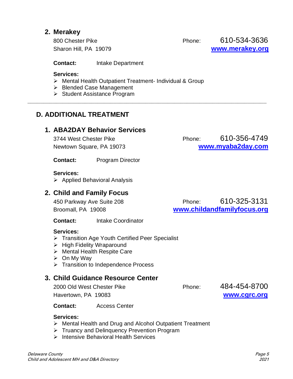## **2. Merakey**

800 Chester Pike **Phone:** Phone: 610-534-3636 Sharon Hill, PA 19079 **[www.merakey.org](http://www.merakey.org/)**

**Contact:** Intake Department

#### **Services:**

➢ Mental Health Outpatient Treatment- Individual & Group

**\_\_\_\_\_\_\_\_\_\_\_\_\_\_\_\_\_\_\_\_\_\_\_\_\_\_\_\_\_\_\_\_\_\_\_\_\_\_\_\_\_\_\_\_\_\_\_\_\_\_\_\_\_\_\_\_\_\_\_\_\_\_\_\_\_\_\_\_\_\_\_\_\_\_\_**

- ➢ Blended Case Management
- ➢ Student Assistance Program

## **D. ADDITIONAL TREATMENT**

#### **1. ABA2DAY Behavior Services**

3744 West Chester Pike **Phone:** Phone: 610-356-4749 Newtown Square, PA 19073 **[www.myaba2day.com](http://www.myaba2day.com/)**

**Contact:** Program Director

#### **Services:**

➢ Applied Behavioral Analysis

## **2. Child and Family Focus**

450 Parkway Ave Suite 208 Phone: 610-325-3131 Broomall, PA 19008 **[www.childandfamilyfocus.org](http://www.childandfamilyfocus.org/)**

**Contact:** Intake Coordinator

#### **Services:**

- ➢ Transition Age Youth Certified Peer Specialist
- ➢ High Fidelity Wraparound
- ➢ Mental Health Respite Care
- ➢ On My Way
- ➢ Transition to Independence Process

## **3. Child Guidance Resource Center**

2000 Old West Chester Pike **Phone:** 484-454-8700 Havertown, PA 19083 **[www.cgrc.org](http://www.cgrc.org/)**

**Contact:** Access Center

#### **Services:**

- ➢ Mental Health and Drug and Alcohol Outpatient Treatment
- ➢ Truancy and Delinquency Prevention Program
- ➢ Intensive Behavioral Health Services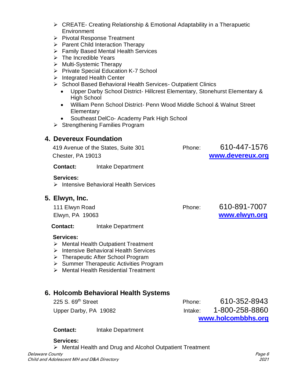- ➢ CREATE- Creating Relationship & Emotional Adaptability in a Therapuetic **Environment**
- ➢ Pivotal Response Treatment
- ➢ Parent Child Interaction Therapy
- ➢ Family Based Mental Health Services
- ➢ The Incredible Years
- ➢ Multi-Systemic Therapy
- ➢ Private Special Education K-7 School
- ➢ Integrated Health Center
- ➢ School Based Behavioral Health Services- Outpatient Clinics
	- Upper Darby School District- Hillcrest Elementary, Stonehurst Elementary & High School
	- William Penn School District- Penn Wood Middle School & Walnut Street **Elementary**
	- Southeast DelCo- Academy Park High School
- ➢ Strengthening Families Program

## **4. Devereux Foundation**

 419 Avenue of the States, Suite 301 Phone: 610-447-1576 Chester, PA 19013 **[www.devereux.org](http://www.devereux.org/) Contact:** Intake Department **Services:**  ➢ Intensive Behavioral Health Services **5. Elwyn, Inc.** 111 Elwyn Road Phone: 610-891-7007 Elwyn, PA 19063 **[www.elwyn.org](http://www.elwyn.org/) Contact:** Intake Department **Services:** ➢ Mental Health Outpatient Treatment

- ➢ Intensive Behavioral Health Services
- ➢ Therapeutic After School Program
- ➢ Summer Therapeutic Activities Program
- ➢ Mental Health Residential Treatment

## **6. Holcomb Behavioral Health Systems**

|                                |           | www.holcombbhs.org |
|--------------------------------|-----------|--------------------|
| Upper Darby, PA 19082          | Intake: I | 1-800-258-8860     |
| 225 S. 69 <sup>th</sup> Street | Phone:    | 610-352-8943       |

**Contact:** Intake Department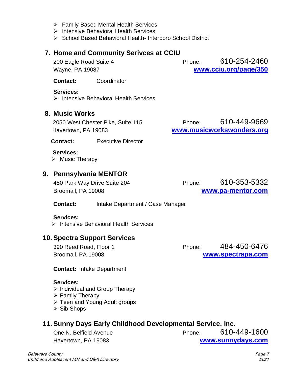➢ Intensive Behavioral Health Services ➢ School Based Behavioral Health- Interboro School District

➢ Family Based Mental Health Services

#### **7. Home and Community Serivces at CCIU**

200 Eagle Road Suite 4 Phone: 610-254-2460 Wayne, PA 19087 **[www.cciu.org/page/350](http://www.cciu.org/page/350)**

**Contact:** Coordinator

#### **Services:**

➢ Intensive Behavioral Health Services

#### **8. Music Works**

 2050 West Chester Pike, Suite 115 Phone: 610-449-9669 Havertown, PA 19083 **[www.musicworkswonders.org](http://www.musicworkswonders.org/)**

**Contact:** Executive Director

 **Services:** ➢ Music Therapy

## **9. Pennsylvania MENTOR**

Broomall, PA 19008 **[www.pa-mentor.com](http://www.pa-mentor.com/)**

450 Park Way Drive Suite 204 Phone: 610-353-5332

#### **Contact:** Intake Department / Case Manager

#### **Services:**

➢ Intensive Behavioral Health Services

#### **10. Spectra Support Services**

390 Reed Road, Floor 1 Phone: 484-450-6476 Broomall, PA 19008 **[www.spectrapa.com](http://www.spectrapa.com/)**

**Contact:** Intake Department

#### **Services:**

- ➢ Individual and Group Therapy
- ➢ Family Therapy
- ➢ Teen and Young Adult groups
- ➢ Sib Shops

#### **11. Sunny Days Early Childhood Developmental Service, Inc.**

One N. Belfield Avenue **Phone:** 610-449-1600 Havertown, PA 19083 **[www.sunnydays.com](http://www.sunnydays.com/)**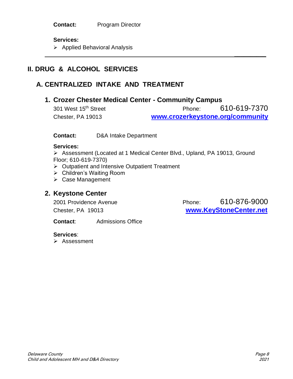#### **Services:**

➢ Applied Behavioral Analysis

## **II. DRUG & ALCOHOL SERVICES**

## **A. CENTRALIZED INTAKE AND TREATMENT**

## **1. Crozer Chester Medical Center - Community Campus**

301 West 15th Street Phone: 610-619-7370 Chester, PA 19013 **[www.crozerkeystone.org/community](http://www.crozerkeystone.org/community)**

**\_\_\_\_\_\_\_\_\_\_**

**Contact:** D&A Intake Department

#### **Services:**

➢ Assessment (Located at 1 Medical Center Blvd., Upland, PA 19013, Ground Floor; 610-619-7370)

- ➢ Outpatient and Intensive Outpatient Treatment
- ➢ Children's Waiting Room
- ➢ Case Management

## **2. Keystone Center**

2001 Providence Avenue **Phone:** 610-876-9000 Chester, PA 19013 **[www.KeyStoneCenter.net](http://www.keystonecenter.net/)**

**Contact**: Admissions Office

**Services**:

➢ Assessment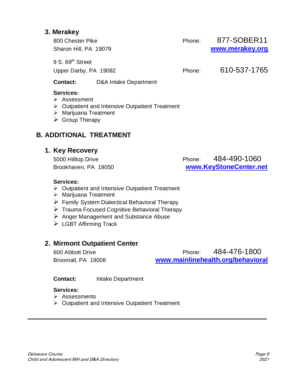## **3. Merakey**

| 800 Chester Pike             | Phone: | 877-SOBER11     |
|------------------------------|--------|-----------------|
| Sharon Hill, PA 19079        |        | www.merakey.org |
| 9 S. 69 <sup>th</sup> Street |        |                 |
| Upper Darby, PA 19082        | Phone: | 610-537-1765    |
|                              |        |                 |

## **Contact:** D&A Intake Department

#### **Services:**

- ➢ Assessment
- ➢ Outpatient and Intensive Outpatient Treatment
- ➢ Marijuana Treatment
- $\triangleright$  Group Therapy

## **B. ADDITIONAL TREATMENT**

#### **1. Key Recovery**

5000 Hilltop Drive Phone: 484-490-1060 Brookhaven, PA 19050 **[www.KeyStoneCenter.net](http://www.keystonecenter.net/)**

#### **Services:**

- ➢ Outpatient and Intensive Outpatient Treatment
- ➢ Marijuana Treatment
- ➢ Family System Dialectical Behavioral Therapy
- ➢ Trauma Focused Cognitive Behavioral Therapy
- ➢ Anger Management and Substance Abuse
- ➢ LGBT Affirming Track

## **2. Mirmont Outpatient Center**

600 Abbott Drive Phone: 484-476-1800 Broomall, PA 19008 **[www.mainlinehealth.org/behavioral](http://www.mainlinehealth.org/behavioral)**

**Contact:** Intake Department

#### **Services:**

- ➢ Assessments
- ➢ Outpatient and Intensive Outpatient Treatment

**\_\_\_\_\_\_\_\_\_\_\_\_\_\_\_\_\_\_\_\_\_\_\_\_\_\_\_\_\_\_\_\_\_\_\_\_\_\_\_\_\_\_\_\_\_\_\_\_\_\_\_\_\_\_\_\_\_\_\_\_\_\_\_\_\_\_\_\_\_\_\_\_\_\_\_**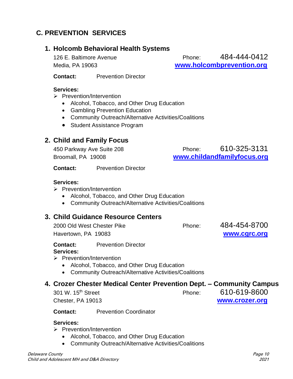## **C. PREVENTION SERVICES**

## **1. Holcomb Behavioral Health Systems**

126 E. Baltimore Avenue **Phone:** 484-444-0412 Media, PA 19063 **[www.holcombprevention.org](http://www.holcombprevention.org/)**

**Contact:** Prevention Director

#### **Services:**

- ➢ Prevention/Intervention
	- Alcohol, Tobacco, and Other Drug Education
	- Gambling Prevention Education
	- Community Outreach/Alternative Activities/Coalitions
	- Student Assistance Program

## **2. Child and Family Focus**

| 450 Parkway Ave Suite 208 | Phone: | 610-325-3131                |
|---------------------------|--------|-----------------------------|
| Broomall, PA 19008        |        | www.childandfamilyfocus.org |

**Contact:** Prevention Director

#### **Services:**

- ➢ Prevention/Intervention
	- Alcohol, Tobacco, and Other Drug Education
	- Community Outreach/Alternative Activities/Coalitions

## **3. Child Guidance Resource Centers**

2000 Old West Chester Pike **Phone:** 484-454-8700 Havertown, PA 19083 **[www.cgrc.org](http://www.cgrc.org/)**

**Contact:** Prevention Director

#### **Services:**

➢ Prevention/Intervention

- Alcohol, Tobacco, and Other Drug Education
- Community Outreach/Alternative Activities/Coalitions

## **4. Crozer Chester Medical Center Prevention Dept. – Community Campus**

301 W. 15th Street Phone: 610-619-8600

Chester, PA 19013 **[www.crozer.org](http://www.crozer.org/)**

**Contact:** Prevention Coordinator

#### **Services:**

- ➢ Prevention/Intervention
	- Alcohol, Tobacco, and Other Drug Education
	- Community Outreach/Alternative Activities/Coalitions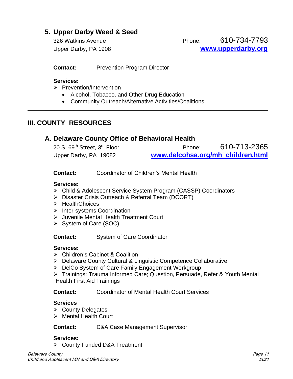## **5. Upper Darby Weed & Seed**

326 Watkins Avenue Phone: 610-734-7793 Upper Darby, PA 1908 **[www.upperdarby.org](http://www.upperdarby.org/)**

**Contact:** Prevention Program Director

#### **Services:**

- ➢ Prevention/Intervention
	- Alcohol, Tobacco, and Other Drug Education
	- Community Outreach/Alternative Activities/Coalitions

## **III. COUNTY RESOURCES**

#### **A. Delaware County Office of Behavioral Health**

| 20 S. 69 <sup>th</sup> Street, 3 <sup>rd</sup> Floor | Phone:                            | 610-713-2365 |
|------------------------------------------------------|-----------------------------------|--------------|
| Upper Darby, PA 19082                                | www.delcohsa.org/mh children.html |              |

**\_\_\_\_\_\_\_\_\_\_\_\_\_\_\_\_\_\_\_\_\_\_\_\_\_\_\_\_\_\_\_\_\_\_\_\_\_\_\_\_\_\_\_\_\_\_\_\_\_\_\_\_\_\_\_\_\_\_\_\_\_\_\_\_\_\_\_\_\_\_**

**Contact:** Coordinator of Children's Mental Health

#### **Services:**

- ➢ Child & Adolescent Service System Program (CASSP) Coordinators
- ➢ Disaster Crisis Outreach & Referral Team (DCORT)
- ➢ HealthChoices
- ➢ Inter-systems Coordination
- ➢ Juvenile Mental Health Treatment Court
- ➢ System of Care (SOC)

**Contact:** System of Care Coordinator

#### **Services:**

- ➢ Children's Cabinet & Coalition
- ➢ Delaware County Cultural & Linguistic Competence Collaborative
- ➢ DelCo System of Care Family Engagement Workgroup
- ➢ Trainings: Trauma Informed Care; Question, Persuade, Refer & Youth Mental Health First Aid Trainings

**Contact:** Coordinator of Mental Health Court Services

#### **Services**

- ➢ County Delegates
- ➢ Mental Health Court

#### **Contact:** D&A Case Management Supervisor

#### **Services:**

➢ County Funded D&A Treatment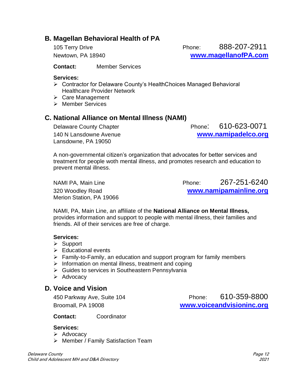## **B. Magellan Behavioral Health of PA**

105 Terry Drive Phone:888-207-2911 Newtown, PA 18940 **[www.magellanofPA.com](http://www.magellanofpa.com/)**

**Contact:** Member Services

#### **Services:**

- ➢ Contractor for Delaware County's HealthChoices Managed Behavioral Healthcare Provider Network
- ➢ Care Management
- ➢ Member Services

## **C. National Alliance on Mental Illness (NAMI)**

Lansdowne, PA 19050

Delaware County Chapter **Phone:** 610-623-0071 140 N Lansdowne Avenue **[www.namipadelco.org](http://www.namipadelco.org/)**

A non-governmental citizen's organization that advocates for better services and treatment for people woth mental illness, and promotes research and education to prevent mental illness.

Merion Station, PA 19066

NAMI PA, Main Line **Phone:** 267-251-6240 320 Woodley Road **[www.namipamainline.org](http://www.namipamainline.org/)**

NAMI, PA, Main Line, an affiliate of the **National Alliance on Mental Illness,** provides information and support to people with mental illness, their families and friends. All of their services are free of charge.

#### **Services:**

- ➢ Support
- ➢ Educational events
- $\triangleright$  Family-to-Family, an education and support program for family members
- ➢ Information on mental illness, treatment and coping
- ➢ Guides to services in Southeastern Pennsylvania
- ➢ Advocacy

#### **D. Voice and Vision**

450 Parkway Ave, Suite 104 Phone: 610-359-8800 Broomall, PA 19008 **[www.voiceandvisioninc.org](http://www.voiceandvisioninc.org/)** 

**Contact:** Coordinator

#### **Services:**

- ➢ Advocacy
- ➢ Member / Family Satisfaction Team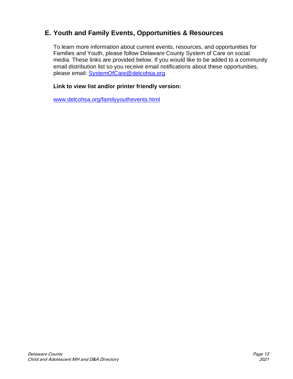## **E. Youth and Family Events, Opportunities & Resources**

To learn more information about current events, resources, and opportunities for Families and Youth, please follow Delaware County System of Care on social media. These links are provided below. If you would like to be added to a community email distribution list so you receive email notifications about these opportunities, please email: [SystemOfCare@delcohsa.org](mailto:SystemOfCare@delcohsa.org)

#### **Link to view list and/or printer friendly version:**

[www.delcohsa.org/familyyouthevents.html](http://www.delcohsa.org/familyyouthevents.html)